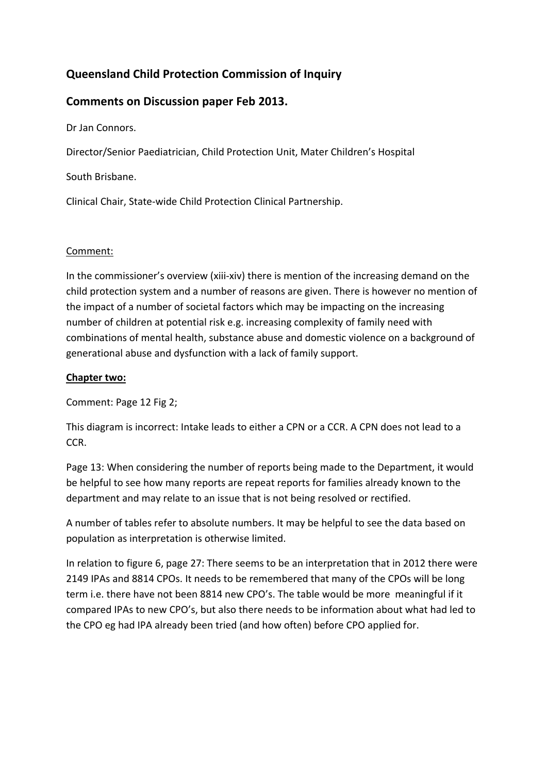# **Queensland Child Protection Commission of Inquiry**

# **Comments on Discussion paper Feb 2013.**

Dr Jan Connors.

Director/Senior Paediatrician, Child Protection Unit, Mater Children's Hospital

South Brisbane.

Clinical Chair, State‐wide Child Protection Clinical Partnership.

## Comment:

In the commissioner's overview (xiii-xiv) there is mention of the increasing demand on the child protection system and a number of reasons are given. There is however no mention of the impact of a number of societal factors which may be impacting on the increasing number of children at potential risk e.g. increasing complexity of family need with combinations of mental health, substance abuse and domestic violence on a background of generational abuse and dysfunction with a lack of family support.

# **Chapter two:**

Comment: Page 12 Fig 2;

This diagram is incorrect: Intake leads to either a CPN or a CCR. A CPN does not lead to a CCR.

Page 13: When considering the number of reports being made to the Department, it would be helpful to see how many reports are repeat reports for families already known to the department and may relate to an issue that is not being resolved or rectified.

A number of tables refer to absolute numbers. It may be helpful to see the data based on population as interpretation is otherwise limited.

In relation to figure 6, page 27: There seems to be an interpretation that in 2012 there were 2149 IPAs and 8814 CPOs. It needs to be remembered that many of the CPOs will be long term i.e. there have not been 8814 new CPO's. The table would be more meaningful if it compared IPAs to new CPO's, but also there needs to be information about what had led to the CPO eg had IPA already been tried (and how often) before CPO applied for.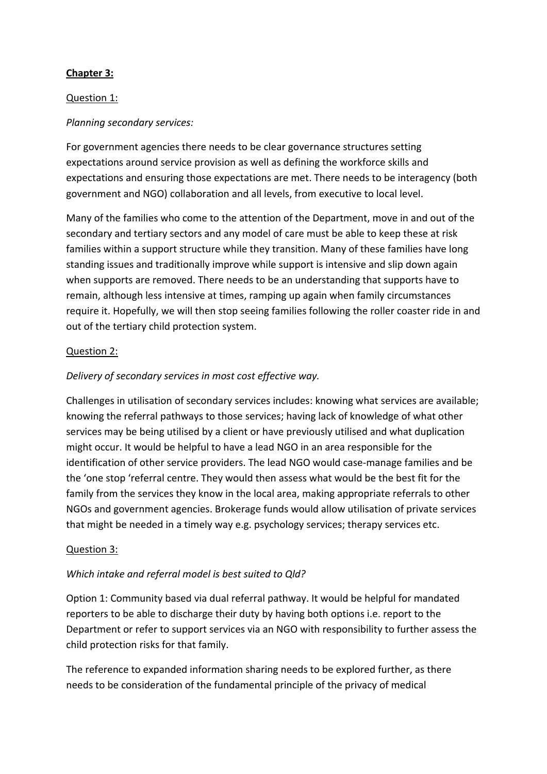# **Chapter 3:**

## Question 1:

## *Planning secondary services:*

For government agencies there needs to be clear governance structures setting expectations around service provision as well as defining the workforce skills and expectations and ensuring those expectations are met. There needs to be interagency (both government and NGO) collaboration and all levels, from executive to local level.

Many of the families who come to the attention of the Department, move in and out of the secondary and tertiary sectors and any model of care must be able to keep these at risk families within a support structure while they transition. Many of these families have long standing issues and traditionally improve while support is intensive and slip down again when supports are removed. There needs to be an understanding that supports have to remain, although less intensive at times, ramping up again when family circumstances require it. Hopefully, we will then stop seeing families following the roller coaster ride in and out of the tertiary child protection system.

## Question 2:

# *Delivery of secondary services in most cost effective way.*

Challenges in utilisation of secondary services includes: knowing what services are available; knowing the referral pathways to those services; having lack of knowledge of what other services may be being utilised by a client or have previously utilised and what duplication might occur. It would be helpful to have a lead NGO in an area responsible for the identification of other service providers. The lead NGO would case-manage families and be the 'one stop 'referral centre. They would then assess what would be the best fit for the family from the services they know in the local area, making appropriate referrals to other NGOs and government agencies. Brokerage funds would allow utilisation of private services that might be needed in a timely way e.g. psychology services; therapy services etc.

### Question 3:

## *Which intake and referral model is best suited to Qld?*

Option 1: Community based via dual referral pathway. It would be helpful for mandated reporters to be able to discharge their duty by having both options i.e. report to the Department or refer to support services via an NGO with responsibility to further assess the child protection risks for that family.

The reference to expanded information sharing needs to be explored further, as there needs to be consideration of the fundamental principle of the privacy of medical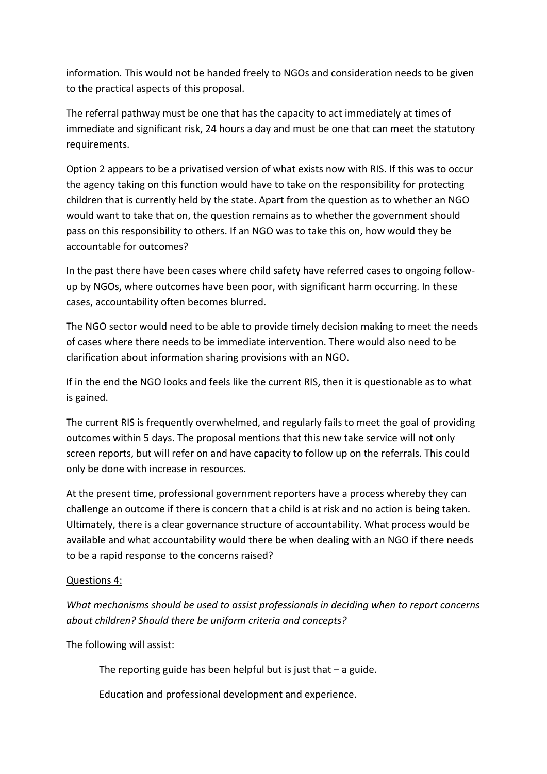information. This would not be handed freely to NGOs and consideration needs to be given to the practical aspects of this proposal.

The referral pathway must be one that has the capacity to act immediately at times of immediate and significant risk, 24 hours a day and must be one that can meet the statutory requirements.

Option 2 appears to be a privatised version of what exists now with RIS. If this was to occur the agency taking on this function would have to take on the responsibility for protecting children that is currently held by the state. Apart from the question as to whether an NGO would want to take that on, the question remains as to whether the government should pass on this responsibility to others. If an NGO was to take this on, how would they be accountable for outcomes?

In the past there have been cases where child safety have referred cases to ongoing follow‐ up by NGOs, where outcomes have been poor, with significant harm occurring. In these cases, accountability often becomes blurred.

The NGO sector would need to be able to provide timely decision making to meet the needs of cases where there needs to be immediate intervention. There would also need to be clarification about information sharing provisions with an NGO.

If in the end the NGO looks and feels like the current RIS, then it is questionable as to what is gained.

The current RIS is frequently overwhelmed, and regularly fails to meet the goal of providing outcomes within 5 days. The proposal mentions that this new take service will not only screen reports, but will refer on and have capacity to follow up on the referrals. This could only be done with increase in resources.

At the present time, professional government reporters have a process whereby they can challenge an outcome if there is concern that a child is at risk and no action is being taken. Ultimately, there is a clear governance structure of accountability. What process would be available and what accountability would there be when dealing with an NGO if there needs to be a rapid response to the concerns raised?

## Questions 4:

*What mechanisms should be used to assist professionals in deciding when to report concerns about children? Should there be uniform criteria and concepts?*

The following will assist:

The reporting guide has been helpful but is just that  $-$  a guide.

Education and professional development and experience.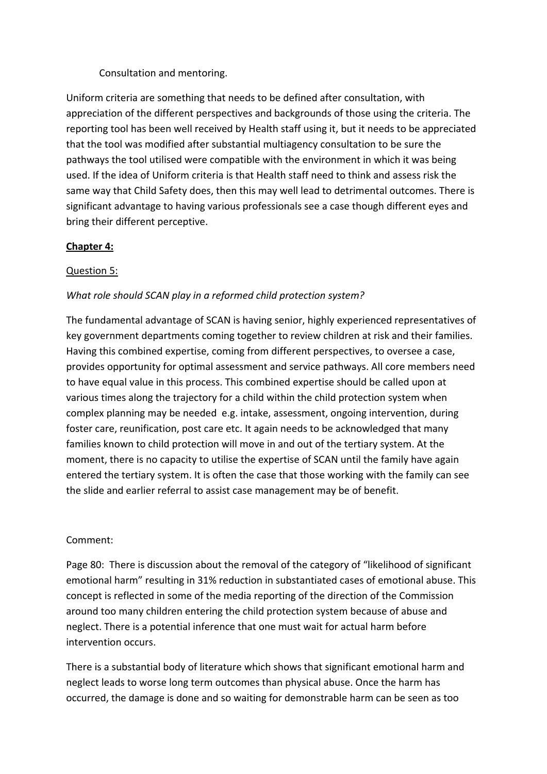## Consultation and mentoring.

Uniform criteria are something that needs to be defined after consultation, with appreciation of the different perspectives and backgrounds of those using the criteria. The reporting tool has been well received by Health staff using it, but it needs to be appreciated that the tool was modified after substantial multiagency consultation to be sure the pathways the tool utilised were compatible with the environment in which it was being used. If the idea of Uniform criteria is that Health staff need to think and assess risk the same way that Child Safety does, then this may well lead to detrimental outcomes. There is significant advantage to having various professionals see a case though different eyes and bring their different perceptive.

## **Chapter 4:**

## Question 5:

## *What role should SCAN play in a reformed child protection system?*

The fundamental advantage of SCAN is having senior, highly experienced representatives of key government departments coming together to review children at risk and their families. Having this combined expertise, coming from different perspectives, to oversee a case, provides opportunity for optimal assessment and service pathways. All core members need to have equal value in this process. This combined expertise should be called upon at various times along the trajectory for a child within the child protection system when complex planning may be needed e.g. intake, assessment, ongoing intervention, during foster care, reunification, post care etc. It again needs to be acknowledged that many families known to child protection will move in and out of the tertiary system. At the moment, there is no capacity to utilise the expertise of SCAN until the family have again entered the tertiary system. It is often the case that those working with the family can see the slide and earlier referral to assist case management may be of benefit.

### Comment:

Page 80: There is discussion about the removal of the category of "likelihood of significant emotional harm" resulting in 31% reduction in substantiated cases of emotional abuse. This concept is reflected in some of the media reporting of the direction of the Commission around too many children entering the child protection system because of abuse and neglect. There is a potential inference that one must wait for actual harm before intervention occurs.

There is a substantial body of literature which shows that significant emotional harm and neglect leads to worse long term outcomes than physical abuse. Once the harm has occurred, the damage is done and so waiting for demonstrable harm can be seen as too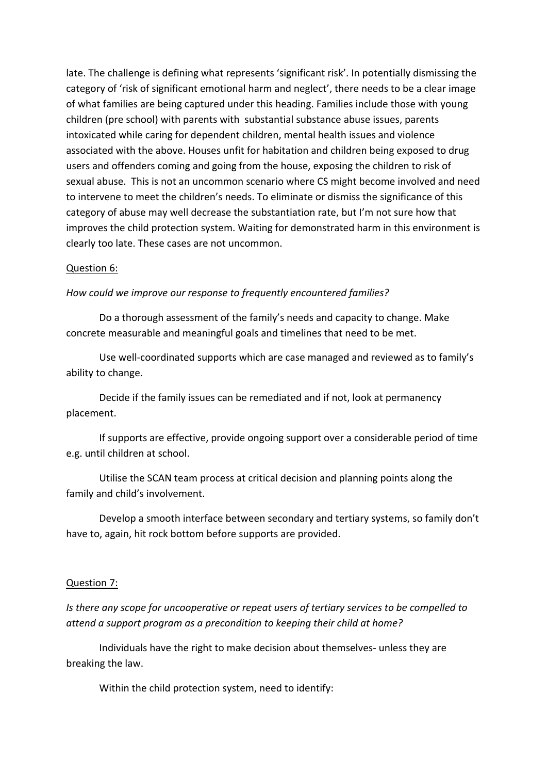late. The challenge is defining what represents 'significant risk'. In potentially dismissing the category of 'risk of significant emotional harm and neglect', there needs to be a clear image of what families are being captured under this heading. Families include those with young children (pre school) with parents with substantial substance abuse issues, parents intoxicated while caring for dependent children, mental health issues and violence associated with the above. Houses unfit for habitation and children being exposed to drug users and offenders coming and going from the house, exposing the children to risk of sexual abuse. This is not an uncommon scenario where CS might become involved and need to intervene to meet the children's needs. To eliminate or dismiss the significance of this category of abuse may well decrease the substantiation rate, but I'm not sure how that improves the child protection system. Waiting for demonstrated harm in this environment is clearly too late. These cases are not uncommon.

#### Question 6:

#### *How could we improve our response to frequently encountered families?*

Do a thorough assessment of the family's needs and capacity to change. Make concrete measurable and meaningful goals and timelines that need to be met.

Use well‐coordinated supports which are case managed and reviewed as to family's ability to change.

Decide if the family issues can be remediated and if not, look at permanency placement.

If supports are effective, provide ongoing support over a considerable period of time e.g. until children at school.

Utilise the SCAN team process at critical decision and planning points along the family and child's involvement.

Develop a smooth interface between secondary and tertiary systems, so family don't have to, again, hit rock bottom before supports are provided.

#### Question 7:

*Is there any scope for uncooperative or repeat users of tertiary services to be compelled to attend a support program as a precondition to keeping their child at home?*

Individuals have the right to make decision about themselves‐ unless they are breaking the law.

Within the child protection system, need to identify: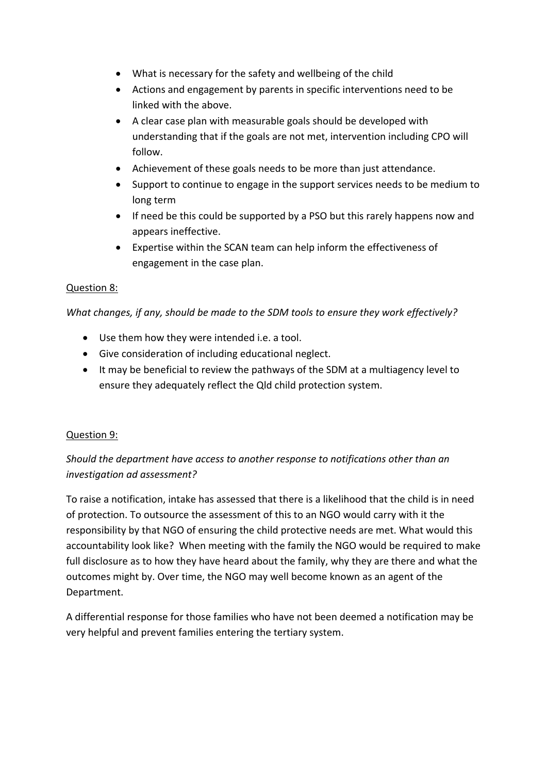- What is necessary for the safety and wellbeing of the child
- Actions and engagement by parents in specific interventions need to be linked with the above.
- A clear case plan with measurable goals should be developed with understanding that if the goals are not met, intervention including CPO will follow.
- Achievement of these goals needs to be more than just attendance.
- Support to continue to engage in the support services needs to be medium to long term
- If need be this could be supported by a PSO but this rarely happens now and appears ineffective.
- Expertise within the SCAN team can help inform the effectiveness of engagement in the case plan.

# Question 8:

*What changes, if any, should be made to the SDM tools to ensure they work effectively?*

- Use them how they were intended i.e. a tool.
- Give consideration of including educational neglect.
- It may be beneficial to review the pathways of the SDM at a multiagency level to ensure they adequately reflect the Qld child protection system.

## Question 9:

# *Should the department have access to another response to notifications other than an investigation ad assessment?*

To raise a notification, intake has assessed that there is a likelihood that the child is in need of protection. To outsource the assessment of this to an NGO would carry with it the responsibility by that NGO of ensuring the child protective needs are met. What would this accountability look like? When meeting with the family the NGO would be required to make full disclosure as to how they have heard about the family, why they are there and what the outcomes might by. Over time, the NGO may well become known as an agent of the Department.

A differential response for those families who have not been deemed a notification may be very helpful and prevent families entering the tertiary system.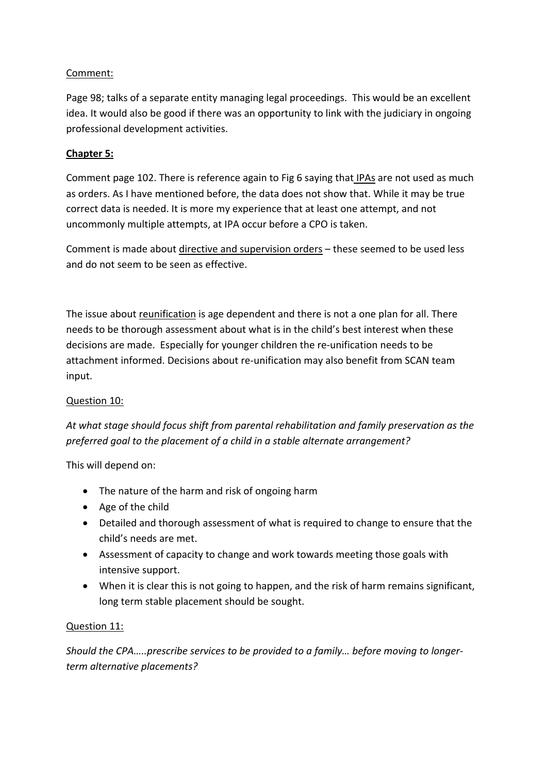# Comment:

Page 98; talks of a separate entity managing legal proceedings. This would be an excellent idea. It would also be good if there was an opportunity to link with the judiciary in ongoing professional development activities.

# **Chapter 5:**

Comment page 102. There is reference again to Fig 6 saying that IPAs are not used as much as orders. As I have mentioned before, the data does not show that. While it may be true correct data is needed. It is more my experience that at least one attempt, and not uncommonly multiple attempts, at IPA occur before a CPO is taken.

Comment is made about directive and supervision orders – these seemed to be used less and do not seem to be seen as effective.

The issue about reunification is age dependent and there is not a one plan for all. There needs to be thorough assessment about what is in the child's best interest when these decisions are made. Especially for younger children the re‐unification needs to be attachment informed. Decisions about re‐unification may also benefit from SCAN team input.

# Question 10:

*At what stage should focus shift from parental rehabilitation and family preservation as the preferred goal to the placement of a child in a stable alternate arrangement?*

This will depend on:

- The nature of the harm and risk of ongoing harm
- Age of the child
- Detailed and thorough assessment of what is required to change to ensure that the child's needs are met.
- Assessment of capacity to change and work towards meeting those goals with intensive support.
- When it is clear this is not going to happen, and the risk of harm remains significant, long term stable placement should be sought.

# Question 11:

*Should the CPA…..prescribe services to be provided to a family… before moving to longer‐ term alternative placements?*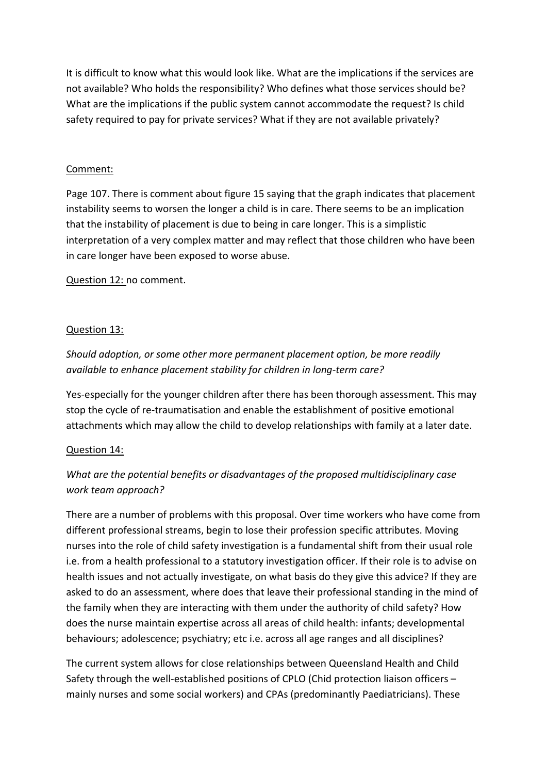It is difficult to know what this would look like. What are the implications if the services are not available? Who holds the responsibility? Who defines what those services should be? What are the implications if the public system cannot accommodate the request? Is child safety required to pay for private services? What if they are not available privately?

## Comment:

Page 107. There is comment about figure 15 saying that the graph indicates that placement instability seems to worsen the longer a child is in care. There seems to be an implication that the instability of placement is due to being in care longer. This is a simplistic interpretation of a very complex matter and may reflect that those children who have been in care longer have been exposed to worse abuse.

Question 12: no comment.

# Question 13:

# *Should adoption, or some other more permanent placement option, be more readily available to enhance placement stability for children in long‐term care?*

Yes‐especially for the younger children after there has been thorough assessment. This may stop the cycle of re‐traumatisation and enable the establishment of positive emotional attachments which may allow the child to develop relationships with family at a later date.

## Question 14:

# *What are the potential benefits or disadvantages of the proposed multidisciplinary case work team approach?*

There are a number of problems with this proposal. Over time workers who have come from different professional streams, begin to lose their profession specific attributes. Moving nurses into the role of child safety investigation is a fundamental shift from their usual role i.e. from a health professional to a statutory investigation officer. If their role is to advise on health issues and not actually investigate, on what basis do they give this advice? If they are asked to do an assessment, where does that leave their professional standing in the mind of the family when they are interacting with them under the authority of child safety? How does the nurse maintain expertise across all areas of child health: infants; developmental behaviours; adolescence; psychiatry; etc i.e. across all age ranges and all disciplines?

The current system allows for close relationships between Queensland Health and Child Safety through the well-established positions of CPLO (Chid protection liaison officers – mainly nurses and some social workers) and CPAs (predominantly Paediatricians). These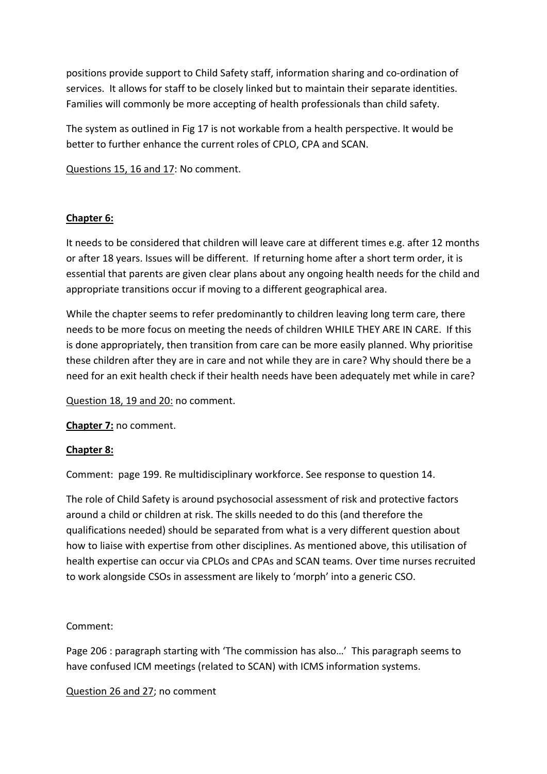positions provide support to Child Safety staff, information sharing and co‐ordination of services. It allows for staff to be closely linked but to maintain their separate identities. Families will commonly be more accepting of health professionals than child safety.

The system as outlined in Fig 17 is not workable from a health perspective. It would be better to further enhance the current roles of CPLO, CPA and SCAN.

Questions 15, 16 and 17: No comment.

# **Chapter 6:**

It needs to be considered that children will leave care at different times e.g. after 12 months or after 18 years. Issues will be different. If returning home after a short term order, it is essential that parents are given clear plans about any ongoing health needs for the child and appropriate transitions occur if moving to a different geographical area.

While the chapter seems to refer predominantly to children leaving long term care, there needs to be more focus on meeting the needs of children WHILE THEY ARE IN CARE. If this is done appropriately, then transition from care can be more easily planned. Why prioritise these children after they are in care and not while they are in care? Why should there be a need for an exit health check if their health needs have been adequately met while in care?

Question 18, 19 and 20: no comment.

**Chapter 7:** no comment.

## **Chapter 8:**

Comment: page 199. Re multidisciplinary workforce. See response to question 14.

The role of Child Safety is around psychosocial assessment of risk and protective factors around a child or children at risk. The skills needed to do this (and therefore the qualifications needed) should be separated from what is a very different question about how to liaise with expertise from other disciplines. As mentioned above, this utilisation of health expertise can occur via CPLOs and CPAs and SCAN teams. Over time nurses recruited to work alongside CSOs in assessment are likely to 'morph' into a generic CSO.

## Comment:

Page 206 : paragraph starting with 'The commission has also…' This paragraph seems to have confused ICM meetings (related to SCAN) with ICMS information systems.

## Question 26 and 27; no comment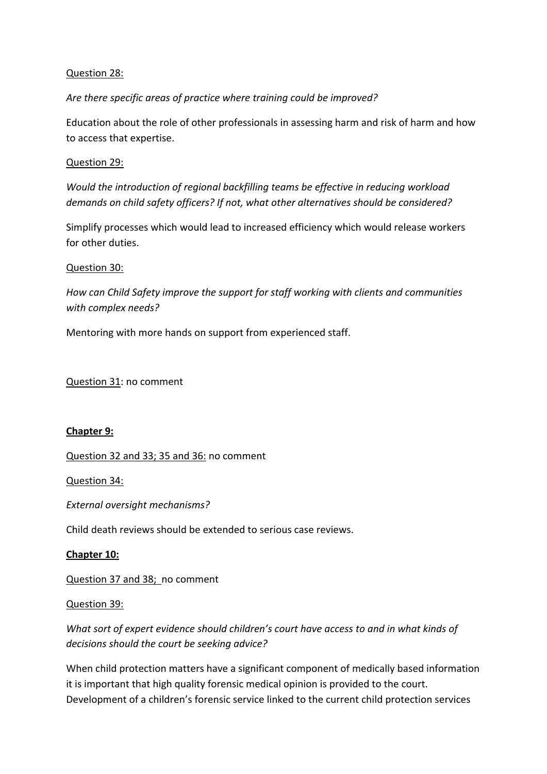## Question 28:

*Are there specific areas of practice where training could be improved?*

Education about the role of other professionals in assessing harm and risk of harm and how to access that expertise.

## Question 29:

*Would the introduction of regional backfilling teams be effective in reducing workload demands on child safety officers? If not, what other alternatives should be considered?*

Simplify processes which would lead to increased efficiency which would release workers for other duties.

### Question 30:

*How can Child Safety improve the support for staff working with clients and communities with complex needs?*

Mentoring with more hands on support from experienced staff.

Question 31: no comment

### **Chapter 9:**

Question 32 and 33; 35 and 36: no comment

Question 34:

*External oversight mechanisms?*

Child death reviews should be extended to serious case reviews.

## **Chapter 10:**

Question 37 and 38; no comment

### Question 39:

*What sort of expert evidence should children's court have access to and in what kinds of decisions should the court be seeking advice?*

When child protection matters have a significant component of medically based information it is important that high quality forensic medical opinion is provided to the court. Development of a children's forensic service linked to the current child protection services